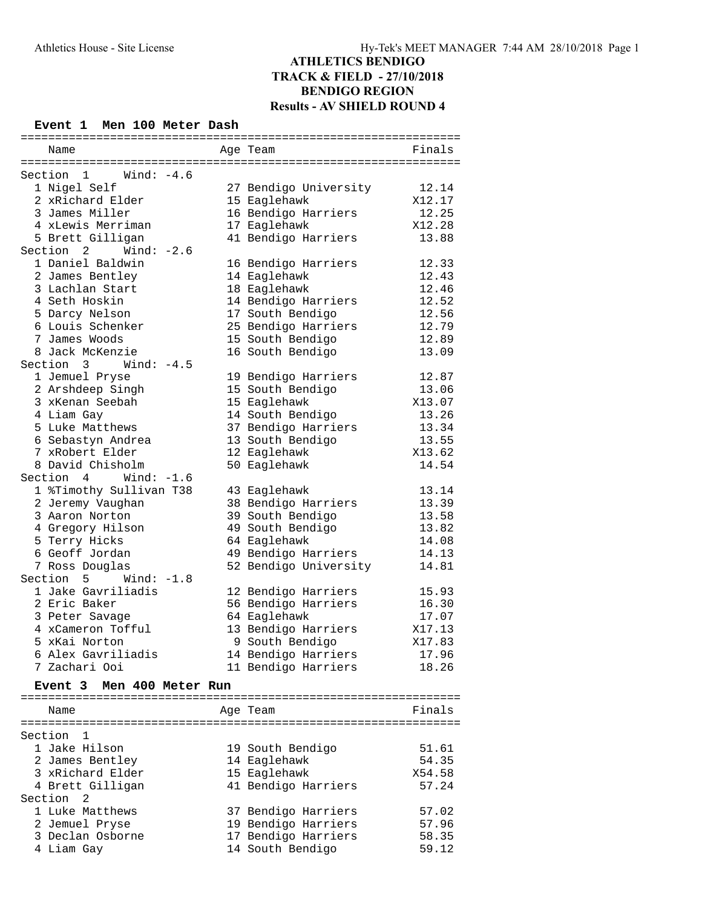#### **Event 1 Men 100 Meter Dash**

| Name                      | Age Team              | Finals |
|---------------------------|-----------------------|--------|
|                           |                       |        |
| Section 1<br>Wind: $-4.6$ |                       |        |
| 1 Nigel Self              | 27 Bendigo University | 12.14  |
| 2 xRichard Elder          | 15 Eaglehawk          | X12.17 |
| 3 James Miller            | 16 Bendigo Harriers   | 12.25  |
| 4 xLewis Merriman         | 17 Eaglehawk          | X12.28 |
| 5 Brett Gilligan          | 41 Bendigo Harriers   | 13.88  |
| Section $2$ Wind: $-2.6$  |                       |        |
| 1 Daniel Baldwin          | 16 Bendigo Harriers   | 12.33  |
| 2 James Bentley           | 14 Eaglehawk          | 12.43  |
| 3 Lachlan Start           | 18 Eaglehawk          | 12.46  |
| 4 Seth Hoskin             | 14 Bendigo Harriers   | 12.52  |
| 5 Darcy Nelson            | 17 South Bendigo      | 12.56  |
| 6 Louis Schenker          | 25 Bendigo Harriers   | 12.79  |
| 7 James Woods             | 15 South Bendigo      | 12.89  |
| 8 Jack McKenzie           | 16 South Bendigo      | 13.09  |
| Section $3$ Wind: $-4.5$  |                       |        |
| 1 Jemuel Pryse            | 19 Bendigo Harriers   | 12.87  |
| 2 Arshdeep Singh          | 15 South Bendigo      | 13.06  |
| 3 xKenan Seebah           | 15 Eaglehawk          | X13.07 |
| 4 Liam Gay                | 14 South Bendigo      | 13.26  |
| 5 Luke Matthews           | 37 Bendigo Harriers   | 13.34  |
| 6 Sebastyn Andrea         | 13 South Bendigo      | 13.55  |
| 7 xRobert Elder           | 12 Eaglehawk          | X13.62 |
| 8 David Chisholm          | 50 Eaglehawk          | 14.54  |
| Section 4<br>Wind: $-1.6$ |                       |        |
| 1 %Timothy Sullivan T38   | 43 Eaglehawk          | 13.14  |
| 2 Jeremy Vaughan          | 38 Bendigo Harriers   | 13.39  |
| 3 Aaron Norton            | 39 South Bendigo      | 13.58  |
| 4 Gregory Hilson          | 49 South Bendigo      | 13.82  |
| 5 Terry Hicks             | 64 Eaglehawk          | 14.08  |
| 6 Geoff Jordan            | 49 Bendigo Harriers   | 14.13  |
| 7 Ross Douglas            | 52 Bendigo University | 14.81  |
| Section 5<br>Wind: $-1.8$ |                       |        |
| 1 Jake Gavriliadis        | 12 Bendigo Harriers   | 15.93  |
| 2 Eric Baker              | 56 Bendigo Harriers   | 16.30  |
| 3 Peter Savage            | 64 Eaglehawk          | 17.07  |
| 4 xCameron Tofful         | 13 Bendigo Harriers   | X17.13 |
| 5 xKai Norton             | 9 South Bendigo       | X17.83 |
| 6 Alex Gavriliadis        | 14 Bendigo Harriers   | 17.96  |
| 7 Zachari Ooi             | 11 Bendigo Harriers   | 18.26  |
| Men 400 Meter Run         |                       |        |
| Event 3                   |                       |        |
| Name                      | Age Team              | Finals |
|                           |                       |        |
| Section<br>1              |                       |        |
| 1 Jake Hilson             | 19 South Bendigo      | 51.61  |
| 2 James Bentley           | 14 Eaglehawk          | 54.35  |
| 3 xRichard Elder          | 15 Eaglehawk          | X54.58 |
| 4 Brett Gilligan          | 41 Bendigo Harriers   | 57.24  |
| Section<br>2              |                       |        |
| 1 Luke Matthews           | 37 Bendigo Harriers   | 57.02  |
| 2 Jemuel Pryse            | 19 Bendigo Harriers   | 57.96  |
| 3 Declan Osborne          | 17 Bendigo Harriers   | 58.35  |

| $5 - 20 = 11$ | $\pm$ , behave $\pm$ mattless | ----- |
|---------------|-------------------------------|-------|
| 4 Liam Gay    | 14 South Bendigo              | 59.12 |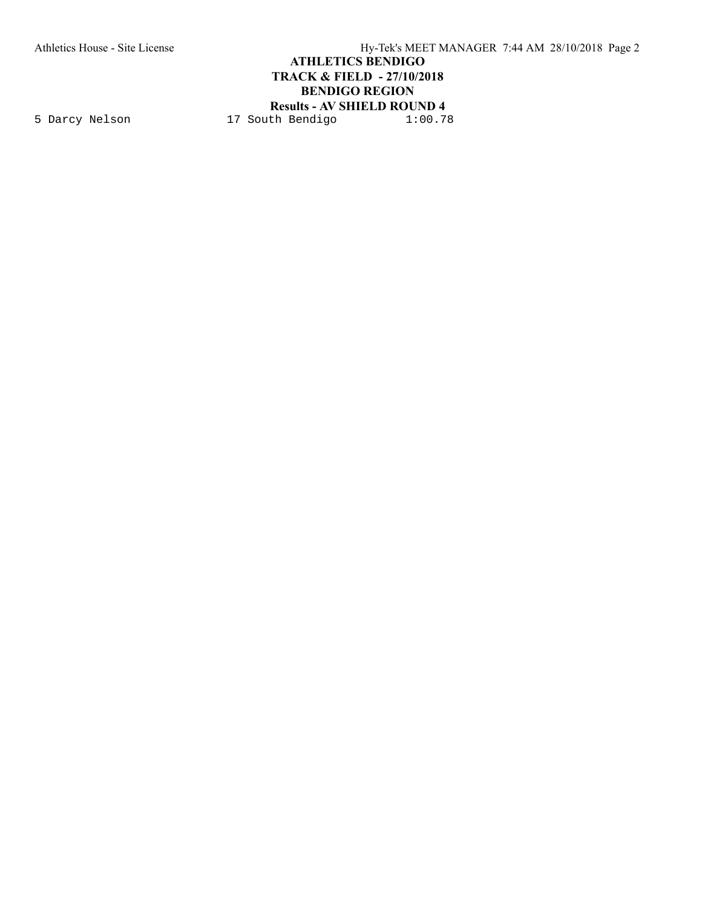Athletics House - Site License Hy-Tek's MEET MANAGER 7:44 AM 28/10/2018 Page 2

## **ATHLETICS BENDIGO TRACK & FIELD - 27/10/2018 BENDIGO REGION**

**Results - AV SHIELD ROUND 4**<br>th Bendigo 1:00.78 5 Darcy Nelson 17 South Bendigo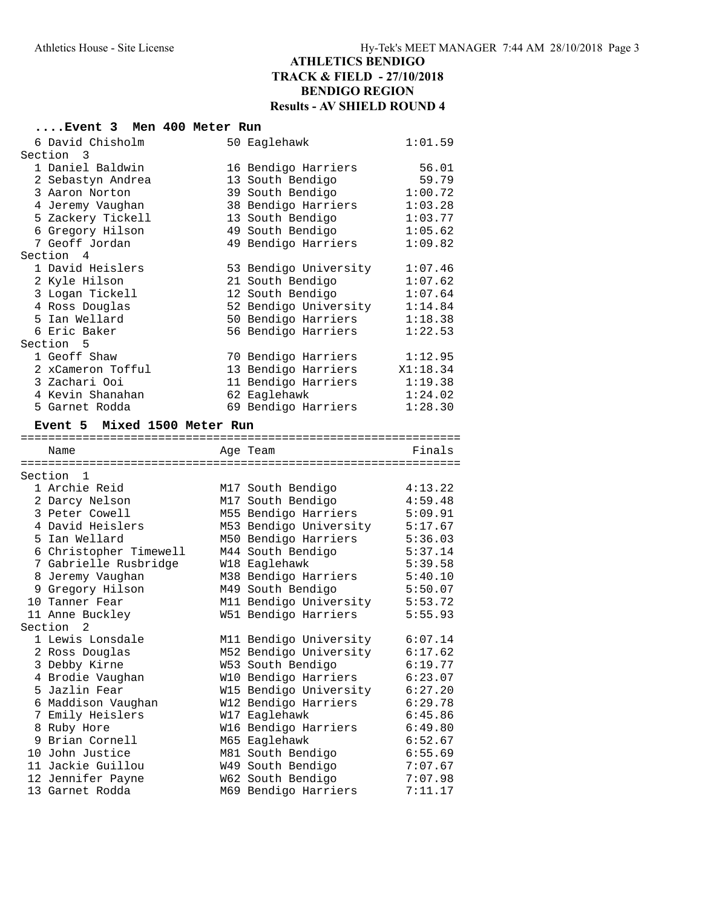#### **....Event 3 Men 400 Meter Run**

| 6 David Chisholm                     | 50 Eaglehawk                              | 1:01.59  |
|--------------------------------------|-------------------------------------------|----------|
| Section<br>-3                        |                                           |          |
| 1 Daniel Baldwin                     | 16 Bendigo Harriers                       | 56.01    |
| 2 Sebastyn Andrea                    | 13 South Bendigo                          | 59.79    |
| 3 Aaron Norton                       | 39 South Bendigo                          | 1:00.72  |
| 4 Jeremy Vaughan                     | 38 Bendigo Harriers                       | 1:03.28  |
| 5 Zackery Tickell                    | 13 South Bendigo                          | 1:03.77  |
| 6 Gregory Hilson                     | 49 South Bendigo                          | 1:05.62  |
| 7 Geoff Jordan                       | 49 Bendigo Harriers                       | 1:09.82  |
| Section 4                            |                                           |          |
| 1 David Heislers                     | 53 Bendigo University                     | 1:07.46  |
| 2 Kyle Hilson                        | 21 South Bendigo                          | 1:07.62  |
| 3 Logan Tickell                      | 12 South Bendigo                          | 1:07.64  |
| 4 Ross Douglas                       | 52 Bendigo University                     | 1:14.84  |
| 5 Ian Wellard                        | 50 Bendigo Harriers                       | 1:18.38  |
| 6 Eric Baker                         | 56 Bendigo Harriers                       | 1:22.53  |
| Section 5                            |                                           |          |
| 1 Geoff Shaw                         | 70 Bendigo Harriers                       | 1:12.95  |
| 2 xCameron Tofful                    | 13 Bendigo Harriers                       | X1:18.34 |
| 3 Zachari Ooi                        | 11 Bendigo Harriers                       | 1:19.38  |
| 4 Kevin Shanahan                     | 62 Eaglehawk                              | 1:24.02  |
| 5 Garnet Rodda                       | 69 Bendigo Harriers                       | 1:28.30  |
| Mixed 1500 Meter Run<br>Event 5      |                                           |          |
| Name                                 | Age Team                                  | Finals   |
|                                      |                                           |          |
|                                      |                                           |          |
| Section 1                            |                                           |          |
| 1 Archie Reid                        | M17 South Bendigo                         | 4:13.22  |
| 2 Darcy Nelson                       | M17 South Bendigo                         | 4:59.48  |
| 3 Peter Cowell                       | M55 Bendigo Harriers                      | 5:09.91  |
| 4 David Heislers                     | M53 Bendigo University                    | 5:17.67  |
| 5 Ian Wellard                        | M50 Bendigo Harriers                      | 5:36.03  |
| 6 Christopher Timewell               | M44 South Bendigo                         | 5:37.14  |
| 7 Gabrielle Rusbridge                | W18 Eaglehawk                             | 5:39.58  |
| 8 Jeremy Vaughan                     | M38 Bendigo Harriers                      | 5:40.10  |
| 9 Gregory Hilson                     | M49 South Bendigo                         | 5:50.07  |
| 10 Tanner Fear                       | M11 Bendigo University                    | 5:53.72  |
| 11 Anne Buckley                      | W51 Bendigo Harriers                      | 5:55.93  |
| Section<br>$\mathfrak{D}$            |                                           |          |
| 1 Lewis Lonsdale                     | M11 Bendigo University                    | 6:07.14  |
| 2 Ross Douglas                       | M52 Bendigo University                    | 6:17.62  |
| 3 Debby Kirne                        | W53 South Bendigo                         | 6:19.77  |
| 4 Brodie Vaughan                     | W10 Bendigo Harriers                      | 6:23.07  |
| 5 Jazlin Fear                        | W15 Bendigo University                    | 6:27.20  |
| 6 Maddison Vaughan                   | W12 Bendigo Harriers                      | 6:29.78  |
| 7 Emily Heislers                     | W17 Eaglehawk                             | 6:45.86  |
| 8 Ruby Hore                          | W16 Bendigo Harriers                      | 6:49.80  |
| 9 Brian Cornell                      | M65 Eaglehawk                             | 6:52.67  |
| 10 John Justice                      | M81 South Bendigo                         | 6:55.69  |
| 11 Jackie Guillou                    | W49 South Bendigo                         | 7:07.67  |
| 12 Jennifer Payne<br>13 Garnet Rodda | W62 South Bendigo<br>M69 Bendigo Harriers | 7:07.98  |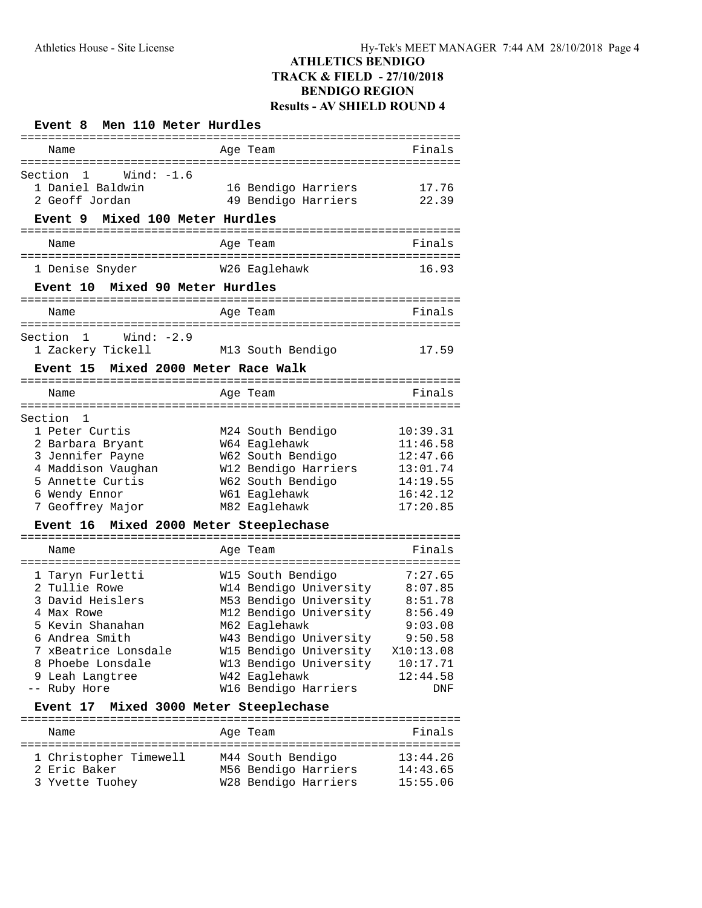#### **Event 8 Men 110 Meter Hurdles** ================================================================ Name **Age Team Age Team** Finals ================================================================ Section 1 Wind: -1.6 1 Daniel Baldwin 16 Bendigo Harriers 17.76 2 Geoff Jordan 49 Bendigo Harriers 22.39 **Event 9 Mixed 100 Meter Hurdles** ================================================================ Name **Age Team** Age Team Finals ================================================================ 1 Denise Snyder W26 Eaglehawk 16.93 **Event 10 Mixed 90 Meter Hurdles** ================================================================ Name **Age Team Age Team Finals** ================================================================ Section 1 Wind: -2.9<br>1 Zackery Tickell M13 South Bendigo 17.59 **Event 15 Mixed 2000 Meter Race Walk** ================================================================ Name **Age Team** Age Team Finals ================================================================ Section 1 1 Peter Curtis M24 South Bendigo 10:39.31 2 Barbara Bryant W64 Eaglehawk 11:46.58 3 Jennifer Payne W62 South Bendigo 12:47.66 4 Maddison Vaughan W12 Bendigo Harriers 13:01.74 5 Annette Curtis W62 South Bendigo 14:19.55 6 Wendy Ennor W61 Eaglehawk 16:42.12 7 Geoffrey Major M82 Eaglehawk 17:20.85 **Event 16 Mixed 2000 Meter Steeplechase** ================================================================ Name **Age Team** Age Team Finals ================================================================ 1 Taryn Furletti W15 South Bendigo 7:27.65 2 Tullie Rowe W14 Bendigo University 8:07.85 3 David Heislers M53 Bendigo University 8:51.78 4 Max Rowe M12 Bendigo University 8:56.49 5 Kevin Shanahan M62 Eaglehawk 9:03.08 6 Andrea Smith W43 Bendigo University 9:50.58 7 xBeatrice Lonsdale W15 Bendigo University X10:13.08 8 Phoebe Lonsdale W13 Bendigo University 10:17.71 9 Leah Langtree W42 Eaglehawk 12:44.58 -- Ruby Hore  $M16$  Bendigo Harriers DNF **Event 17 Mixed 3000 Meter Steeplechase** ================================================================

| Name                                   | Age Team                                  | Finals               |
|----------------------------------------|-------------------------------------------|----------------------|
| 1 Christopher Timewell<br>2 Eric Baker | M44 South Bendigo<br>M56 Bendigo Harriers | 13:44.26<br>14:43.65 |
| 3 Yvette Tuohey                        | W28 Bendigo Harriers                      | 15:55.06             |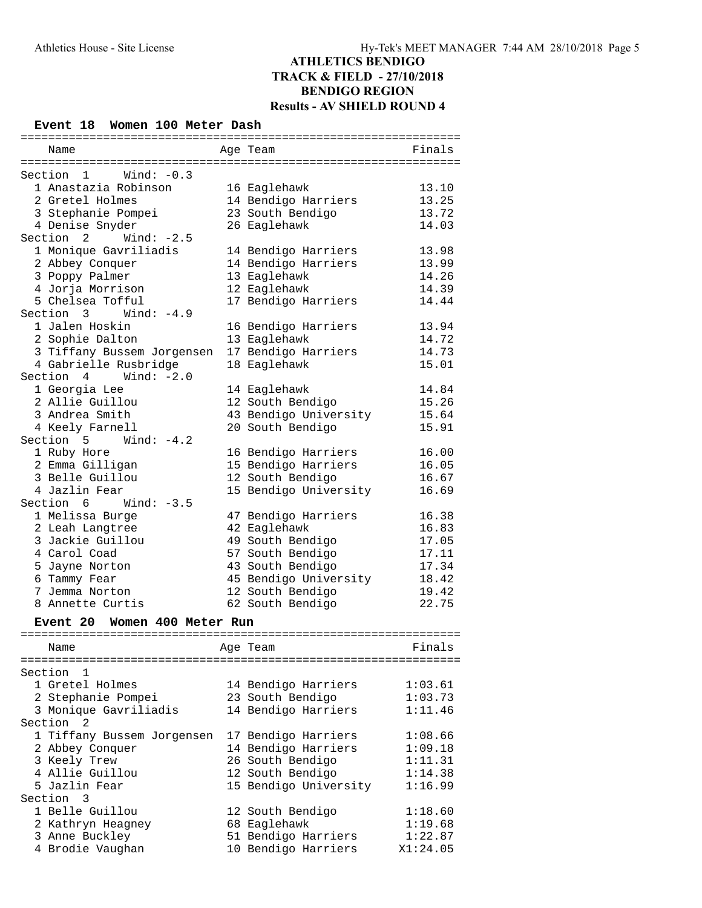#### **Event 18 Women 100 Meter Dash**

| Name                            | Age Team              | Finals   |
|---------------------------------|-----------------------|----------|
|                                 |                       |          |
| Section $1$ Wind: $-0.3$        |                       |          |
| 1 Anastazia Robinson            | 16 Eaglehawk          | 13.10    |
| 2 Gretel Holmes                 | 14 Bendigo Harriers   | 13.25    |
| 3 Stephanie Pompei              | 23 South Bendigo      | 13.72    |
| 4 Denise Snyder                 | 26 Eaglehawk          | 14.03    |
| Section $2$ Wind: $-2.5$        |                       |          |
| 1 Monique Gavriliadis           | 14 Bendigo Harriers   | 13.98    |
| 2 Abbey Conquer                 | 14 Bendigo Harriers   | 13.99    |
| 3 Poppy Palmer                  | 13 Eaglehawk          | 14.26    |
| 4 Jorja Morrison                | 12 Eaglehawk          | 14.39    |
| 5 Chelsea Tofful                | 17 Bendigo Harriers   | 14.44    |
| Section $3$ Wind: $-4.9$        |                       |          |
| 1 Jalen Hoskin                  | 16 Bendigo Harriers   | 13.94    |
| 2 Sophie Dalton                 | 13 Eaglehawk          | 14.72    |
| 3 Tiffany Bussem Jorgensen      | 17 Bendigo Harriers   | 14.73    |
| 4 Gabrielle Rusbridge           | 18 Eaglehawk          | 15.01    |
| Section $4$ Wind: $-2.0$        |                       |          |
| 1 Georgia Lee                   | 14 Eaglehawk          | 14.84    |
| 2 Allie Guillou                 | 12 South Bendigo      | 15.26    |
| 3 Andrea Smith                  | 43 Bendigo University |          |
|                                 |                       | 15.64    |
| 4 Keely Farnell                 | 20 South Bendigo      | 15.91    |
| Section $5$ Wind: $-4.2$        |                       |          |
| 1 Ruby Hore                     | 16 Bendigo Harriers   | 16.00    |
| 2 Emma Gilligan                 | 15 Bendigo Harriers   | 16.05    |
| 3 Belle Guillou                 | 12 South Bendigo      | 16.67    |
| 4 Jazlin Fear                   | 15 Bendigo University | 16.69    |
| Section $6$ Wind: $-3.5$        |                       |          |
| 1 Melissa Burge                 | 47 Bendigo Harriers   | 16.38    |
| 2 Leah Langtree                 | 42 Eaglehawk          | 16.83    |
| 3 Jackie Guillou                | 49 South Bendigo      | 17.05    |
| 4 Carol Coad                    | 57 South Bendigo      | 17.11    |
| 5 Jayne Norton                  | 43 South Bendigo      | 17.34    |
| 6 Tammy Fear                    | 45 Bendigo University | 18.42    |
| 7 Jemma Norton                  | 12 South Bendigo      | 19.42    |
| 8 Annette Curtis                | 62 South Bendigo      | 22.75    |
|                                 |                       |          |
| Event 20<br>Women 400 Meter Run |                       |          |
|                                 |                       |          |
| Name                            | Age Team              | Finals   |
| Section 1                       |                       |          |
|                                 |                       |          |
| 1 Gretel Holmes                 | 14 Bendigo Harriers   | 1:03.61  |
| 2 Stephanie Pompei              | 23 South Bendigo      | 1:03.73  |
| 3 Monique Gavriliadis           | 14 Bendigo Harriers   | 1:11.46  |
| Section<br>2                    |                       |          |
| 1 Tiffany Bussem Jorgensen      | 17 Bendigo Harriers   | 1:08.66  |
| 2 Abbey Conquer                 | 14 Bendigo Harriers   | 1:09.18  |
| 3 Keely Trew                    | 26 South Bendigo      | 1:11.31  |
| 4 Allie Guillou                 | 12 South Bendigo      | 1:14.38  |
| 5 Jazlin Fear                   | 15 Bendigo University | 1:16.99  |
| Section 3                       |                       |          |
| 1 Belle Guillou                 | 12 South Bendigo      | 1:18.60  |
| 2 Kathryn Heagney               | 68 Eaglehawk          | 1:19.68  |
| 3 Anne Buckley                  | 51 Bendigo Harriers   | 1:22.87  |
| 4 Brodie Vaughan                | 10 Bendigo Harriers   | X1:24.05 |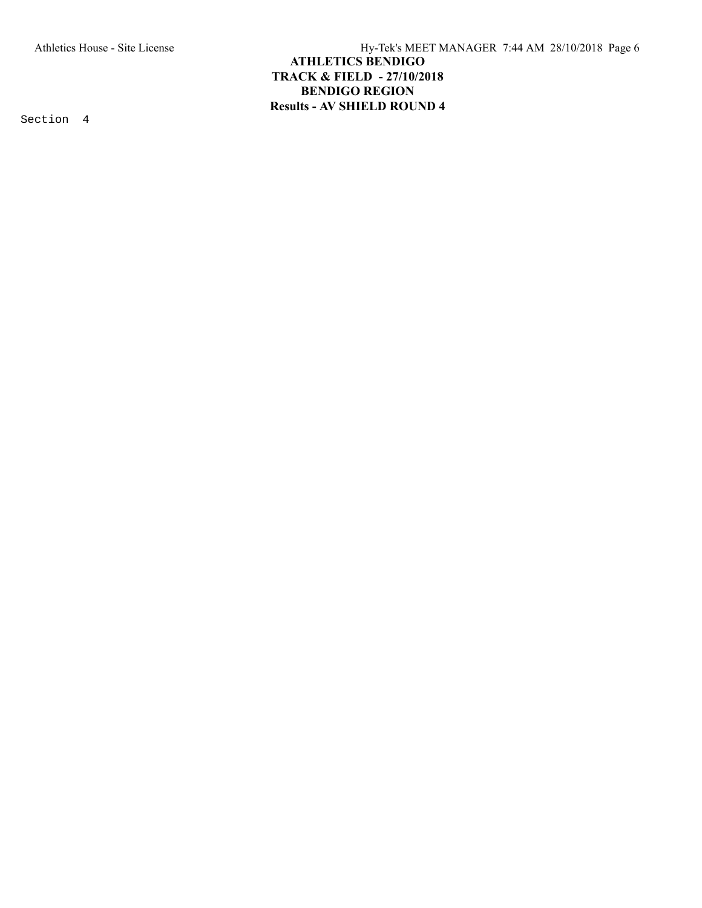Athletics House - Site License Hy-Tek's MEET MANAGER 7:44 AM 28/10/2018 Page 6

## **ATHLETICS BENDIGO TRACK & FIELD - 27/10/2018 BENDIGO REGION Results - AV SHIELD ROUND 4**

Section 4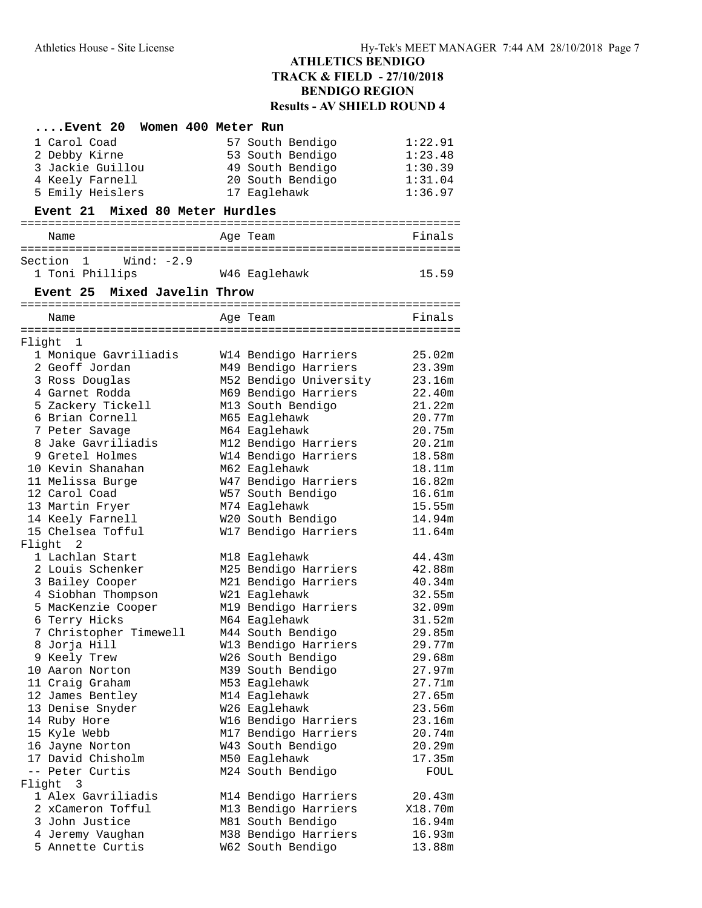|        | Women 400 Meter Run<br>$\ldots$ . Event 20 |                        |         |
|--------|--------------------------------------------|------------------------|---------|
|        | 1 Carol Coad                               | 57 South Bendigo       | 1:22.91 |
|        | 2 Debby Kirne                              | 53 South Bendigo       | 1:23.48 |
|        | 3 Jackie Guillou                           | 49 South Bendigo       | 1:30.39 |
|        | 4 Keely Farnell                            | 20 South Bendigo       | 1:31.04 |
|        | 5 Emily Heislers                           | 17 Eaglehawk           | 1:36.97 |
|        | Event 21 Mixed 80 Meter Hurdles            |                        |         |
|        |                                            |                        |         |
|        | Name                                       | Age Team               | Finals  |
|        | Wind: $-2.9$<br>Section<br>1               |                        |         |
|        | 1 Toni Phillips                            | W46 Eaglehawk          | 15.59   |
|        | Event 25 Mixed Javelin Throw               |                        |         |
|        |                                            |                        |         |
|        | Name                                       | Age Team               | Finals  |
| Flight | $\mathbf{1}$                               |                        |         |
|        | 1 Monique Gavriliadis                      | W14 Bendigo Harriers   | 25.02m  |
|        | 2 Geoff Jordan                             | M49 Bendigo Harriers   | 23.39m  |
|        | 3 Ross Douglas                             | M52 Bendigo University | 23.16m  |
|        | 4 Garnet Rodda                             | M69 Bendigo Harriers   | 22.40m  |
|        | 5 Zackery Tickell                          | M13 South Bendigo      | 21.22m  |
|        | 6 Brian Cornell                            | M65 Eaglehawk          | 20.77m  |
|        | 7 Peter Savage                             | M64 Eaglehawk          | 20.75m  |
|        | 8 Jake Gavriliadis                         | M12 Bendigo Harriers   | 20.21m  |
|        | 9 Gretel Holmes                            | W14 Bendigo Harriers   | 18.58m  |
|        | 10 Kevin Shanahan                          | M62 Eaglehawk          | 18.11m  |
|        | 11 Melissa Burge                           | W47 Bendigo Harriers   | 16.82m  |
|        | 12 Carol Coad                              | W57 South Bendigo      | 16.61m  |
|        | 13 Martin Fryer                            | M74 Eaglehawk          | 15.55m  |
|        | 14 Keely Farnell                           | W20 South Bendigo      | 14.94m  |
|        | 15 Chelsea Tofful                          | W17 Bendigo Harriers   | 11.64m  |
| Flight | 2                                          |                        |         |
|        | 1 Lachlan Start                            | M18 Eaglehawk          | 44.43m  |
|        | 2 Louis Schenker                           | M25 Bendigo Harriers   | 42.88m  |
|        | 3 Bailey Cooper                            | M21 Bendigo Harriers   | 40.34m  |
|        | 4 Siobhan Thompson                         | W21 Eaglehawk          | 32.55m  |
|        | 5 MacKenzie Cooper                         | M19 Bendigo Harriers   | 32.09m  |
|        | 6 Terry Hicks                              | M64 Eaglehawk          | 31.52m  |
|        | 7 Christopher Timewell                     | M44 South Bendigo      | 29.85m  |
|        | 8 Jorja Hill                               | W13 Bendigo Harriers   | 29.77m  |
|        | 9 Keely Trew                               | W26 South Bendigo      | 29.68m  |
|        | 10 Aaron Norton                            | M39 South Bendigo      | 27.97m  |
|        | 11 Craig Graham                            | M53 Eaglehawk          | 27.71m  |
|        | 12 James Bentley                           | M14 Eaglehawk          | 27.65m  |
|        | 13 Denise Snyder                           | W26 Eaglehawk          | 23.56m  |
|        | 14 Ruby Hore                               | W16 Bendigo Harriers   | 23.16m  |
|        | 15 Kyle Webb                               | M17 Bendigo Harriers   | 20.74m  |
|        | 16 Jayne Norton                            | W43 South Bendigo      | 20.29m  |
|        | 17 David Chisholm                          | M50 Eaglehawk          | 17.35m  |
|        | -- Peter Curtis                            | M24 South Bendigo      | FOUL    |
| Flight | 3                                          |                        |         |
|        | 1 Alex Gavriliadis                         | M14 Bendigo Harriers   | 20.43m  |
|        | 2 xCameron Tofful                          | M13 Bendigo Harriers   | X18.70m |
|        | 3 John Justice                             | M81 South Bendigo      | 16.94m  |
|        | 4 Jeremy Vaughan                           | M38 Bendigo Harriers   | 16.93m  |
|        | 5 Annette Curtis                           | W62 South Bendigo      | 13.88m  |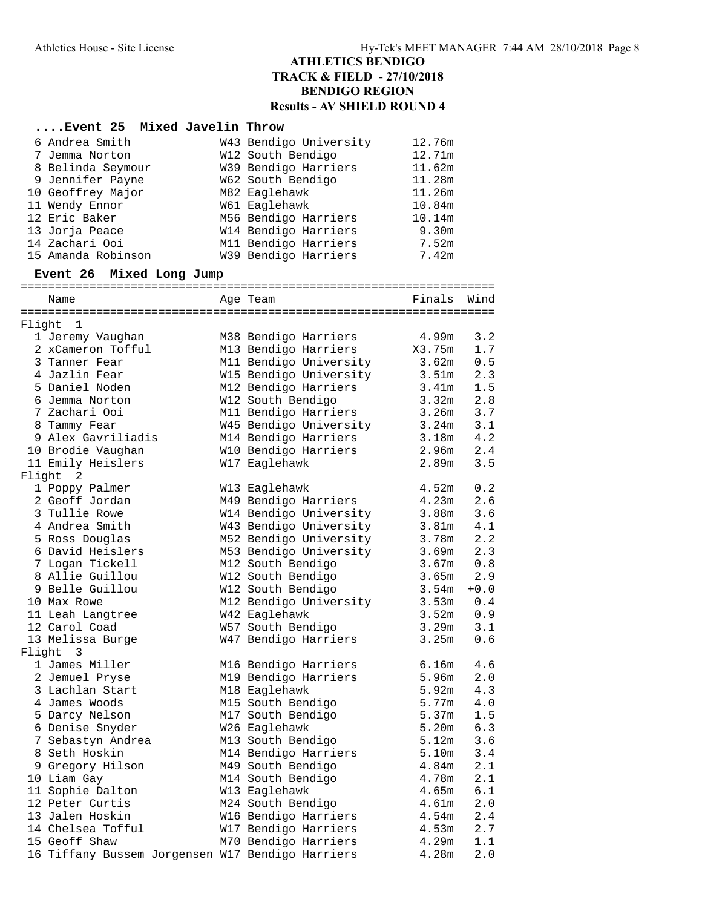#### **....Event 25 Mixed Javelin Throw**

|        | 6 Andrea Smith                                   | W43 Bendigo University | 12.76m            |             |
|--------|--------------------------------------------------|------------------------|-------------------|-------------|
|        | 7 Jemma Norton                                   | W12 South Bendigo      | 12.71m            |             |
|        | 8 Belinda Seymour                                | W39 Bendigo Harriers   | 11.62m            |             |
|        | 9 Jennifer Payne                                 | W62 South Bendigo      | 11.28m            |             |
|        | 10 Geoffrey Major                                | M82 Eaglehawk          | 11.26m            |             |
|        | 11 Wendy Ennor                                   | W61 Eaglehawk          | 10.84m            |             |
|        | 12 Eric Baker                                    | M56 Bendigo Harriers   | 10.14m            |             |
|        | 13 Jorja Peace                                   | W14 Bendigo Harriers   | 9.30m             |             |
|        | 14 Zachari Ooi                                   | M11 Bendigo Harriers   | 7.52m             |             |
|        | 15 Amanda Robinson                               | W39 Bendigo Harriers   | 7.42m             |             |
|        | Event 26 Mixed Long Jump                         |                        |                   |             |
|        | Name                                             | Age Team               | Finals            | Wind        |
| Flight | 1                                                |                        |                   |             |
|        | 1 Jeremy Vaughan                                 | M38 Bendigo Harriers   | 4.99m             | 3.2         |
|        | 2 xCameron Tofful                                | M13 Bendigo Harriers   | X3.75m            | 1.7         |
|        | 3 Tanner Fear                                    | M11 Bendigo University | 3.62m             | 0.5         |
|        | 4 Jazlin Fear                                    | W15 Bendigo University | 3.51m             | 2.3         |
|        | 5 Daniel Noden                                   | M12 Bendigo Harriers   | 3.41m             | 1.5         |
|        | 6 Jemma Norton                                   | W12 South Bendigo      | 3.32m             | 2.8         |
|        | 7 Zachari Ooi                                    | M11 Bendigo Harriers   | 3.26m             | 3.7         |
|        | 8 Tammy Fear                                     | W45 Bendigo University | 3.24m             | 3.1         |
|        | 9 Alex Gavriliadis                               | M14 Bendigo Harriers   | 3.18m             | 4.2         |
|        | 10 Brodie Vaughan                                | W10 Bendigo Harriers   | 2.96m             | 2.4         |
|        | 11 Emily Heislers                                | W17 Eaglehawk          | 2.89m             | 3.5         |
| Flight | 2                                                |                        |                   |             |
|        | 1 Poppy Palmer                                   | W13 Eaglehawk          | 4.52m             | 0.2         |
|        | 2 Geoff Jordan                                   | M49 Bendigo Harriers   | 4.23m             | 2.6         |
|        | 3 Tullie Rowe                                    | W14 Bendigo University | 3.88m             | 3.6         |
|        | 4 Andrea Smith                                   | W43 Bendigo University | 3.81m             | 4.1         |
|        | 5 Ross Douglas                                   | M52 Bendigo University | 3.78m             | 2.2         |
|        | 6 David Heislers                                 | M53 Bendigo University | 3.69m             | 2.3         |
|        | 7 Logan Tickell                                  | M12 South Bendigo      | 3.67m             | 0.8         |
|        | 8 Allie Guillou                                  | W12 South Bendigo      | 3.65m             | 2.9         |
|        | 9 Belle Guillou                                  | W12 South Bendigo      | 3.54m             | $+0.0$      |
|        | 10 Max Rowe                                      | M12 Bendigo University | 3.53m             | 0.4         |
|        | 11 Leah Langtree                                 | W42 Eaglehawk          | 3.52m             | 0.9         |
|        | 12 Carol Coad                                    | W57 South Bendigo      | 3.29m             | 3.1         |
|        | 13 Melissa Burge                                 | W47 Bendigo Harriers   | 3.25m             | 0.6         |
|        | Flight 3                                         |                        |                   |             |
|        | 1 James Miller                                   | M16 Bendigo Harriers   | 6.16m             | 4.6         |
|        | 2 Jemuel Pryse                                   | M19 Bendigo Harriers   | 5.96m             | 2.0         |
|        | 3 Lachlan Start                                  | M18 Eaglehawk          | 5.92m             | 4.3         |
|        | 4 James Woods                                    | M15 South Bendigo      | 5.77m             | 4.0         |
|        | 5 Darcy Nelson                                   | M17 South Bendigo      | 5.37 <sub>m</sub> | 1.5         |
|        | 6 Denise Snyder                                  | W26 Eaglehawk          | 5.20m             | 6.3         |
|        | 7 Sebastyn Andrea                                | M13 South Bendigo      | 5.12m             | 3.6         |
|        | 8 Seth Hoskin                                    | M14 Bendigo Harriers   | 5.10 <sub>m</sub> | 3.4         |
|        | 9 Gregory Hilson                                 | M49 South Bendigo      | 4.84m             | 2.1         |
|        | 10 Liam Gay                                      | M14 South Bendigo      | 4.78m             | 2.1         |
|        | 11 Sophie Dalton                                 | W13 Eaglehawk          | 4.65m             | 6.1         |
|        | 12 Peter Curtis                                  | M24 South Bendigo      | 4.61m             | $2 \cdot 0$ |
|        | 13 Jalen Hoskin                                  | W16 Bendigo Harriers   | 4.54 <sub>m</sub> | 2.4         |
|        | 14 Chelsea Tofful                                | W17 Bendigo Harriers   | 4.53m             | 2.7         |
|        | 15 Geoff Shaw                                    | M70 Bendigo Harriers   | 4.29m             | 1.1         |
|        | 16 Tiffany Bussem Jorgensen W17 Bendigo Harriers |                        | 4.28m             | 2.0         |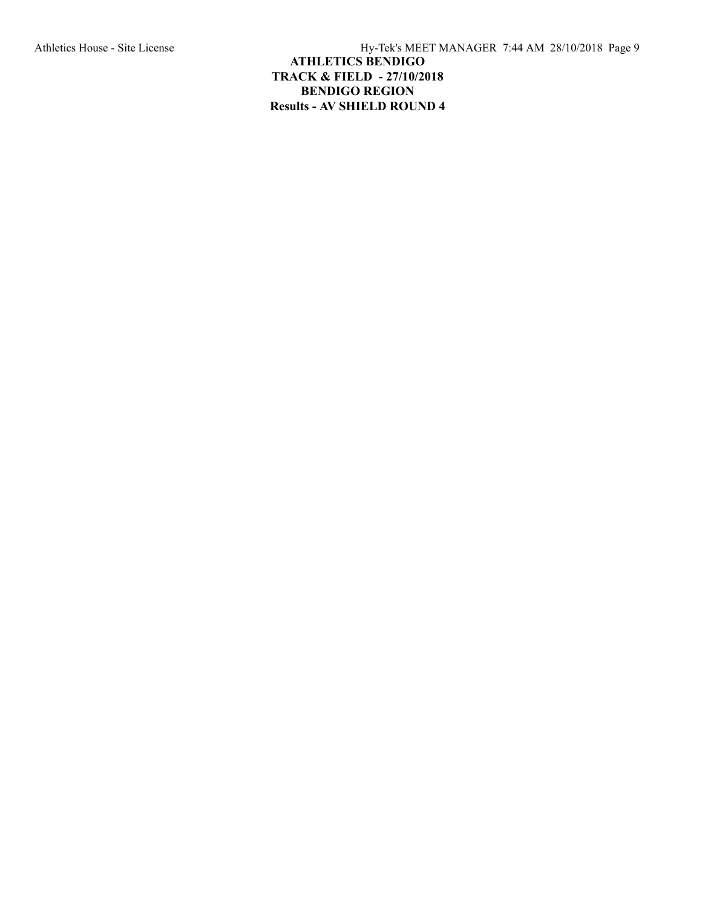Athletics House - Site License Hy-Tek's MEET MANAGER 7:44 AM 28/10/2018 Page 9

## **ATHLETICS BENDIGO TRACK & FIELD - 27/10/2018 BENDIGO REGION Results - AV SHIELD ROUND 4**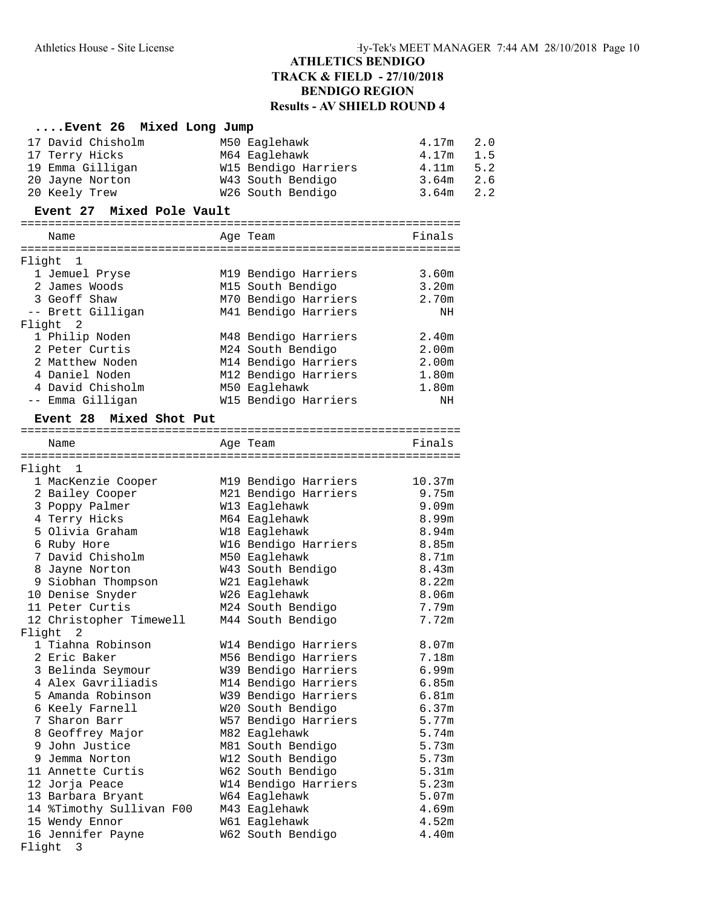## **....Event 26 Mixed Long Jump**

| 17 David Chisholm<br>17 Terry Hicks<br>19 Emma Gilligan<br>20 Jayne Norton<br>20 Keely Trew | M50 Eaglehawk<br>M64 Eaglehawk<br>W15 Bendigo Harriers<br>W43 South Bendigo<br>W26 South Bendigo | 4.17m<br>4.17m<br>4.11m<br>3.64m<br>3.64m | 2.0<br>1.5<br>5.2<br>2.6<br>2.2 |
|---------------------------------------------------------------------------------------------|--------------------------------------------------------------------------------------------------|-------------------------------------------|---------------------------------|
| Event 27 Mixed Pole Vault                                                                   |                                                                                                  |                                           |                                 |
| Name                                                                                        | Age Team                                                                                         | Finals                                    |                                 |
| Flight 1                                                                                    |                                                                                                  |                                           |                                 |
| 1 Jemuel Pryse                                                                              | M19 Bendigo Harriers                                                                             | 3.60m                                     |                                 |
| 2 James Woods                                                                               | M15 South Bendigo                                                                                | 3.20m                                     |                                 |
| 3 Geoff Shaw                                                                                | M70 Bendigo Harriers                                                                             | 2.70m                                     |                                 |
| -- Brett Gilligan                                                                           | M41 Bendigo Harriers                                                                             | NH                                        |                                 |
| Flight 2                                                                                    |                                                                                                  |                                           |                                 |
| 1 Philip Noden                                                                              | M48 Bendigo Harriers                                                                             | 2.40m                                     |                                 |
| 2 Peter Curtis                                                                              | M24 South Bendigo                                                                                | 2.00m                                     |                                 |
| 2 Matthew Noden                                                                             | M14 Bendigo Harriers                                                                             | 2.00m                                     |                                 |
| 4 Daniel Noden                                                                              | M12 Bendigo Harriers                                                                             | 1.80 <sub>m</sub>                         |                                 |
| 4 David Chisholm                                                                            | M50 Eaglehawk                                                                                    | 1.80m                                     |                                 |
| -- Emma Gilligan                                                                            | W15 Bendigo Harriers                                                                             | NH                                        |                                 |
|                                                                                             |                                                                                                  |                                           |                                 |

#### **Event 28 Mixed Shot Put**

|        | Name                                 | Age Team                      | Finals            |
|--------|--------------------------------------|-------------------------------|-------------------|
|        | ==================================== | :============================ |                   |
| Flight | - 1                                  |                               |                   |
|        | 1 MacKenzie Cooper                   | M19 Bendigo Harriers          | 10.37m            |
|        | 2 Bailey Cooper                      | M21 Bendigo Harriers          | 9.75m             |
|        | 3 Poppy Palmer                       | W13 Eaglehawk                 | 9.09 <sub>m</sub> |
|        | 4 Terry Hicks                        | M64 Eaglehawk                 | 8.99m             |
|        | 5 Olivia Graham                      | W18 Eaglehawk                 | 8.94m             |
|        | 6 Ruby Hore                          | W16 Bendigo Harriers          | 8.85m             |
|        | 7 David Chisholm                     | M50 Eaglehawk                 | 8.71m             |
|        | 8 Jayne Norton                       | W43 South Bendigo             | 8.43m             |
|        | 9 Siobhan Thompson                   | W21 Eaglehawk                 | 8.22m             |
|        | 10 Denise Snyder                     | W26 Eaglehawk                 | 8.06m             |
|        | 11 Peter Curtis                      | M24 South Bendigo             | 7.79m             |
|        | 12 Christopher Timewell              | M44 South Bendigo             | 7.72m             |
|        | Flight 2                             |                               |                   |
|        | 1 Tiahna Robinson                    | W14 Bendigo Harriers          | 8.07m             |
|        | 2 Eric Baker                         | M56 Bendigo Harriers          | 7.18m             |
|        | 3 Belinda Seymour                    | W39 Bendigo Harriers          | 6.99m             |
|        | 4 Alex Gavriliadis                   | M14 Bendigo Harriers          | 6.85m             |
|        | 5 Amanda Robinson                    | W39 Bendigo Harriers          | 6.81 <sub>m</sub> |
|        | 6 Keely Farnell                      | W20 South Bendigo             | 6.37m             |
|        | 7 Sharon Barr                        | W57 Bendigo Harriers          | 5.77m             |
|        | 8 Geoffrey Major                     | M82 Eaglehawk                 | 5.74m             |
|        | 9 John Justice                       | M81 South Bendigo             | 5.73m             |
|        | 9 Jemma Norton                       | W12 South Bendigo             | 5.73m             |
|        | 11 Annette Curtis                    | W62 South Bendigo             | 5.31 <sub>m</sub> |
|        | 12 Jorja Peace                       | W14 Bendigo Harriers          | 5.23m             |
|        | 13 Barbara Bryant                    | W64 Eaglehawk                 | 5.07 <sub>m</sub> |
|        | 14 %Timothy Sullivan F00             | M43 Eaglehawk                 | 4.69m             |
|        | 15 Wendy Ennor                       | W61 Eaglehawk                 | 4.52m             |
|        | 16 Jennifer Payne                    | W62 South Bendigo             | 4.40m             |
| Flight | 3                                    |                               |                   |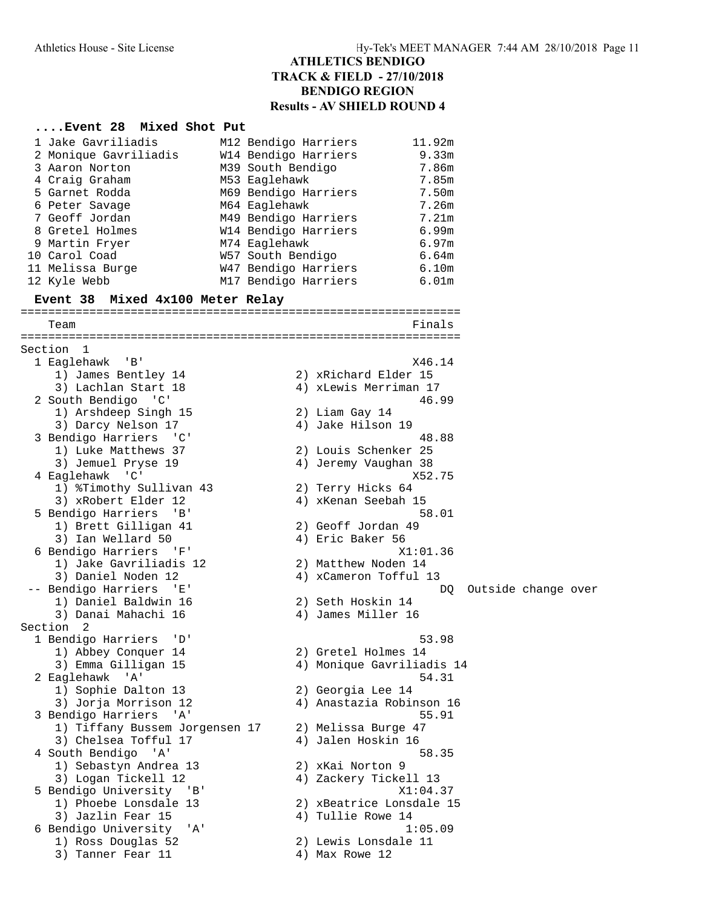# **....Event 28 Mixed Shot Put**

| 1 Jake Gavriliadis                            | M12 Bendigo Harriers |                                   | 11.92m  |                     |  |
|-----------------------------------------------|----------------------|-----------------------------------|---------|---------------------|--|
| 2 Monique Gavriliadis                         | W14 Bendigo Harriers |                                   | 9.33m   |                     |  |
| 3 Aaron Norton                                | M39 South Bendigo    |                                   | 7.86m   |                     |  |
| 4 Craig Graham                                | M53 Eaglehawk        |                                   | 7.85m   |                     |  |
| 5 Garnet Rodda                                | M69 Bendigo Harriers |                                   | 7.50m   |                     |  |
| 6 Peter Savage                                | M64 Eaglehawk        |                                   | 7.26m   |                     |  |
| 7 Geoff Jordan                                | M49 Bendigo Harriers |                                   | 7.21m   |                     |  |
| 8 Gretel Holmes                               | W14 Bendigo Harriers |                                   | 6.99m   |                     |  |
| 9 Martin Fryer                                | M74 Eaglehawk        |                                   | 6.97m   |                     |  |
| 10 Carol Coad                                 | W57 South Bendigo    |                                   | 6.64m   |                     |  |
| 11 Melissa Burge                              | W47 Bendigo Harriers |                                   | 6.10m   |                     |  |
| 12 Kyle Webb                                  | M17 Bendigo Harriers |                                   | 6.01m   |                     |  |
| Event 38 Mixed 4x100 Meter Relay              |                      |                                   |         |                     |  |
|                                               |                      |                                   |         |                     |  |
| Team                                          |                      |                                   | Finals  |                     |  |
|                                               |                      |                                   |         |                     |  |
| Section 1                                     |                      |                                   |         |                     |  |
| 1 Eaglehawk<br>'B'                            |                      |                                   | X46.14  |                     |  |
| 1) James Bentley 14                           |                      | 2) xRichard Elder 15              |         |                     |  |
| 3) Lachlan Start 18                           |                      | 4) xLewis Merriman 17             |         |                     |  |
| 2 South Bendigo 'C'                           |                      |                                   | 46.99   |                     |  |
| 1) Arshdeep Singh 15                          |                      | 2) Liam Gay 14                    |         |                     |  |
| 3) Darcy Nelson 17                            |                      | 4) Jake Hilson 19                 |         |                     |  |
| 3 Bendigo Harriers<br>$\cdot$ $\circ$ $\cdot$ |                      |                                   | 48.88   |                     |  |
| 1) Luke Matthews 37                           |                      | 2) Louis Schenker 25              |         |                     |  |
| 3) Jemuel Pryse 19                            |                      | 4) Jeremy Vaughan 38              |         |                     |  |
| 4 Eaglehawk 'C'                               |                      |                                   | X52.75  |                     |  |
| 1) %Timothy Sullivan 43                       |                      | 2) Terry Hicks 64                 |         |                     |  |
| 3) xRobert Elder 12                           |                      | 4) xKenan Seebah 15               |         |                     |  |
| 5 Bendigo Harriers 'B'                        |                      |                                   | 58.01   |                     |  |
| 1) Brett Gilligan 41                          |                      | 2) Geoff Jordan 49                |         |                     |  |
| 3) Ian Wellard 50                             |                      | 4) Eric Baker 56                  |         |                     |  |
| 6 Bendigo Harriers 'F'                        |                      | X1:01.36                          |         |                     |  |
| 1) Jake Gavriliadis 12                        |                      | 2) Matthew Noden 14               |         |                     |  |
| 3) Daniel Noden 12                            |                      | 4) xCameron Tofful 13             |         |                     |  |
| -- Bendigo Harriers 'E'                       |                      |                                   | DQ.     | Outside change over |  |
| 1) Daniel Baldwin 16                          |                      | 2) Seth Hoskin 14                 |         |                     |  |
| 3) Danai Mahachi 16<br>Section 2              |                      | 4) James Miller 16                |         |                     |  |
| 1 Bendigo Harriers<br>' D'                    |                      |                                   | 53.98   |                     |  |
| 1) Abbey Conquer 14                           |                      | 2) Gretel Holmes 14               |         |                     |  |
| 3) Emma Gilligan 15                           |                      | 4) Monique Gavriliadis 14         |         |                     |  |
| 2 Eaglehawk<br>'A'                            |                      |                                   | 54.31   |                     |  |
| 1) Sophie Dalton 13                           |                      | 2) Georgia Lee 14                 |         |                     |  |
| 3) Jorja Morrison 12                          |                      | 4) Anastazia Robinson 16          |         |                     |  |
| 3 Bendigo Harriers<br>' A '                   |                      |                                   | 55.91   |                     |  |
| 1) Tiffany Bussem Jorgensen 17                |                      | 2) Melissa Burge 47               |         |                     |  |
| 3) Chelsea Tofful 17                          |                      | 4) Jalen Hoskin 16                |         |                     |  |
| 4 South Bendigo 'A'                           |                      |                                   | 58.35   |                     |  |
| 1) Sebastyn Andrea 13                         |                      | 2) xKai Norton 9                  |         |                     |  |
| 3) Logan Tickell 12                           |                      |                                   |         |                     |  |
| 5 Bendigo University 'B'                      |                      | 4) Zackery Tickell 13<br>X1:04.37 |         |                     |  |
| 1) Phoebe Lonsdale 13                         |                      | 2) xBeatrice Lonsdale 15          |         |                     |  |
| 3) Jazlin Fear 15                             |                      | 4) Tullie Rowe 14                 |         |                     |  |
| 6 Bendigo University<br>'A'                   |                      |                                   | 1:05.09 |                     |  |
| 1) Ross Douglas 52                            |                      | 2) Lewis Lonsdale 11              |         |                     |  |
| 3) Tanner Fear 11                             |                      | 4) Max Rowe 12                    |         |                     |  |
|                                               |                      |                                   |         |                     |  |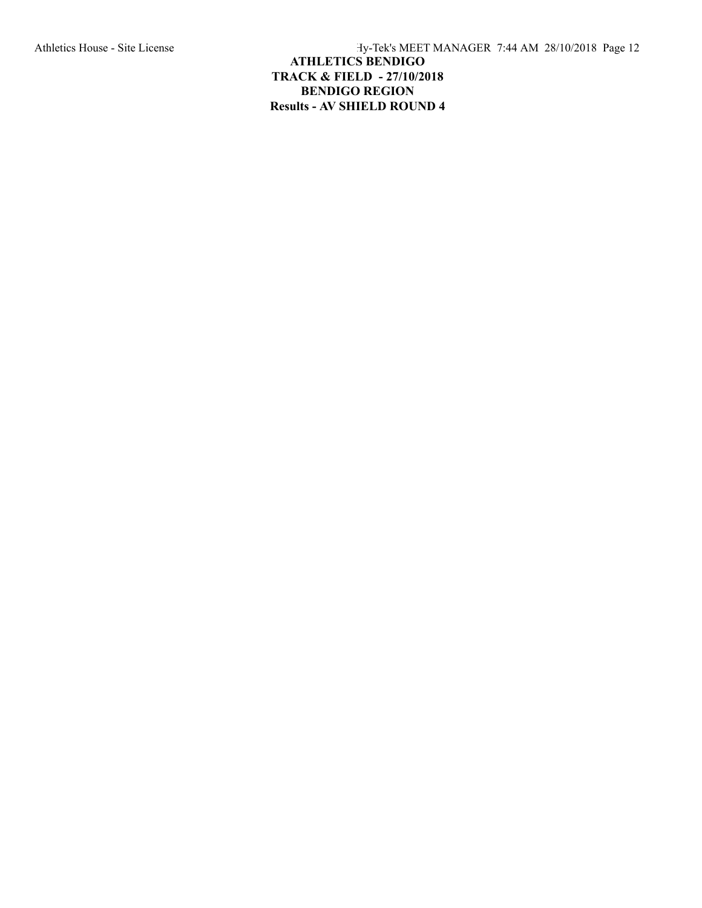Athletics House - Site License Hy-Tek's MEET MANAGER 7:44 AM 28/10/2018 Page 12 **ATHLETICS BENDIGO TRACK & FIELD - 27/10/2018**

**BENDIGO REGION Results - AV SHIELD ROUND 4**